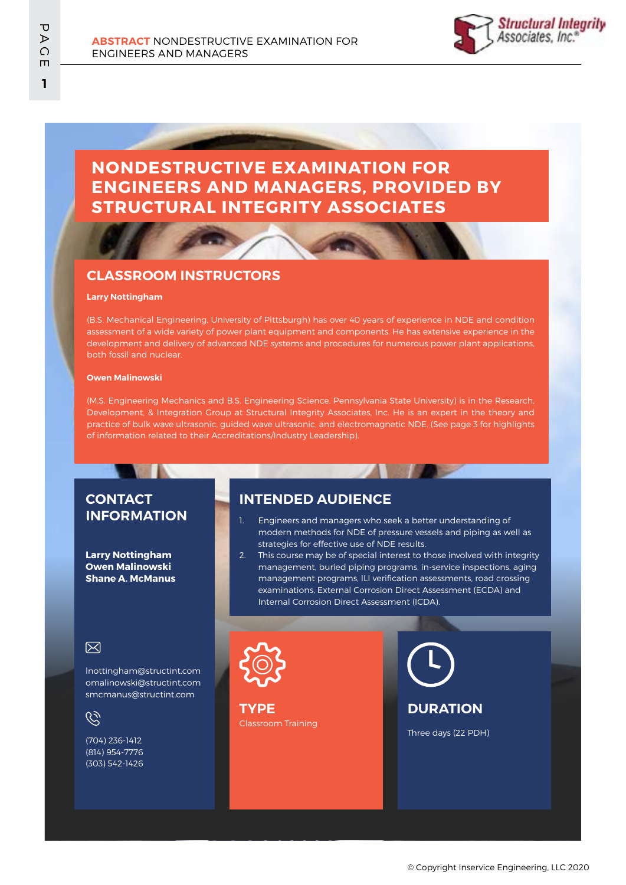

# **NONDESTRUCTIVE EXAMINATION FOR ENGINEERS AND MANAGERS, PROVIDED BY STRUCTURAL INTEGRITY ASSOCIATES**

## **CLASSROOM INSTRUCTORS**

### **Larry Nottingham**

(B.S. Mechanical Engineering, University of Pittsburgh) has over 40 years of experience in NDE and condition assessment of a wide variety of power plant equipment and components. He has extensive experience in the development and delivery of advanced NDE systems and procedures for numerous power plant applications, both fossil and nuclear.

#### **Owen Malinowski**

(M.S. Engineering Mechanics and B.S. Engineering Science, Pennsylvania State University) is in the Research, Development, & Integration Group at Structural Integrity Associates, Inc. He is an expert in the theory and practice of bulk wave ultrasonic, guided wave ultrasonic, and electromagnetic NDE. (See page 3 for highlights of information related to their Accreditations/Industry Leadership).

## **CONTACT INFORMATION**

**Larry Nottingham Owen Malinowski Shane A. McManus**

## **INTENDED AUDIENCE**

- 1. Engineers and managers who seek a better understanding of modern methods for NDE of pressure vessels and piping as well as strategies for effective use of NDE results.
- 2. This course may be of special interest to those involved with integrity management, buried piping programs, in-service inspections, aging management programs, ILI verification assessments, road crossing examinations, External Corrosion Direct Assessment (ECDA) and Internal Corrosion Direct Assessment (ICDA).

### 冈

lnottingham@structint.com omalinowski@structint.com smcmanus@structint.com

G

(704) 236-1412 (814) 954-7776 (303) 542-1426



Classroom Training **TYPE**

**DURATION**

Three days (22 PDH)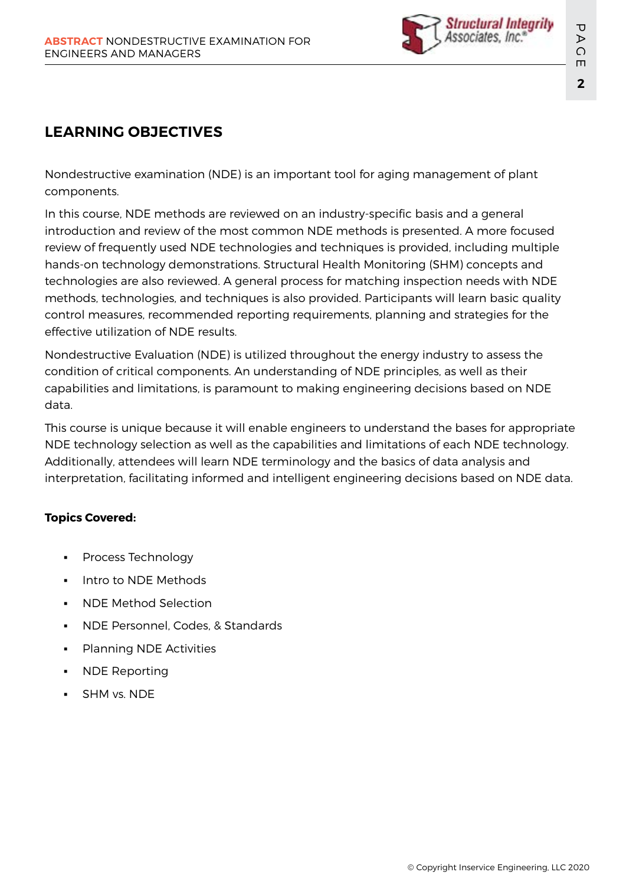

# **LEARNING OBJECTIVES**

Nondestructive examination (NDE) is an important tool for aging management of plant components.

In this course, NDE methods are reviewed on an industry-specific basis and a general introduction and review of the most common NDE methods is presented. A more focused review of frequently used NDE technologies and techniques is provided, including multiple hands-on technology demonstrations. Structural Health Monitoring (SHM) concepts and technologies are also reviewed. A general process for matching inspection needs with NDE methods, technologies, and techniques is also provided. Participants will learn basic quality control measures, recommended reporting requirements, planning and strategies for the effective utilization of NDE results.

Nondestructive Evaluation (NDE) is utilized throughout the energy industry to assess the condition of critical components. An understanding of NDE principles, as well as their capabilities and limitations, is paramount to making engineering decisions based on NDE data.

This course is unique because it will enable engineers to understand the bases for appropriate NDE technology selection as well as the capabilities and limitations of each NDE technology. Additionally, attendees will learn NDE terminology and the basics of data analysis and interpretation, facilitating informed and intelligent engineering decisions based on NDE data.

## **Topics Covered:**

- Process Technology
- Intro to NDE Methods
- NDE Method Selection
- NDE Personnel, Codes, & Standards
- Planning NDE Activities
- **NDE Reporting**
- SHM vs. NDE